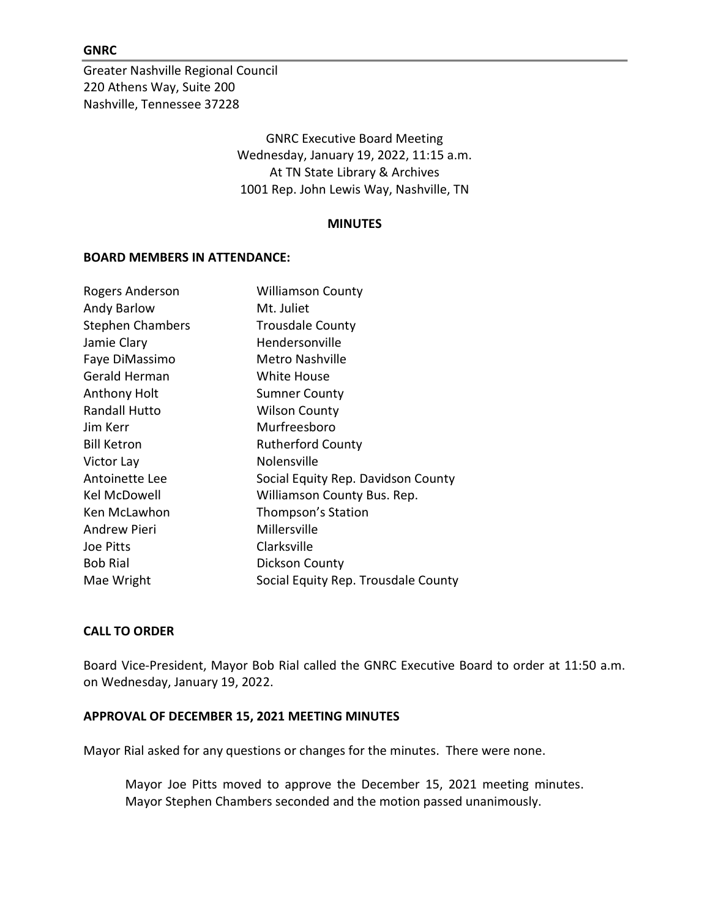#### GNRC

Greater Nashville Regional Council 220 Athens Way, Suite 200 Nashville, Tennessee 37228

> GNRC Executive Board Meeting Wednesday, January 19, 2022, 11:15 a.m. At TN State Library & Archives 1001 Rep. John Lewis Way, Nashville, TN

#### MINUTES

#### BOARD MEMBERS IN ATTENDANCE:

| Rogers Anderson         | <b>Williamson County</b>            |
|-------------------------|-------------------------------------|
| Andy Barlow             | Mt. Juliet                          |
| <b>Stephen Chambers</b> | <b>Trousdale County</b>             |
| Jamie Clary             | Hendersonville                      |
| Faye DiMassimo          | Metro Nashville                     |
| Gerald Herman           | White House                         |
| Anthony Holt            | <b>Sumner County</b>                |
| Randall Hutto           | <b>Wilson County</b>                |
| Jim Kerr                | Murfreesboro                        |
| <b>Bill Ketron</b>      | <b>Rutherford County</b>            |
| Victor Lay              | Nolensville                         |
| Antoinette Lee          | Social Equity Rep. Davidson County  |
| Kel McDowell            | Williamson County Bus. Rep.         |
| Ken McLawhon            | Thompson's Station                  |
| <b>Andrew Pieri</b>     | Millersville                        |
| Joe Pitts               | Clarksville                         |
| <b>Bob Rial</b>         | <b>Dickson County</b>               |
| Mae Wright              | Social Equity Rep. Trousdale County |

## CALL TO ORDER

Board Vice-President, Mayor Bob Rial called the GNRC Executive Board to order at 11:50 a.m. on Wednesday, January 19, 2022.

#### APPROVAL OF DECEMBER 15, 2021 MEETING MINUTES

Mayor Rial asked for any questions or changes for the minutes. There were none.

Mayor Joe Pitts moved to approve the December 15, 2021 meeting minutes. Mayor Stephen Chambers seconded and the motion passed unanimously.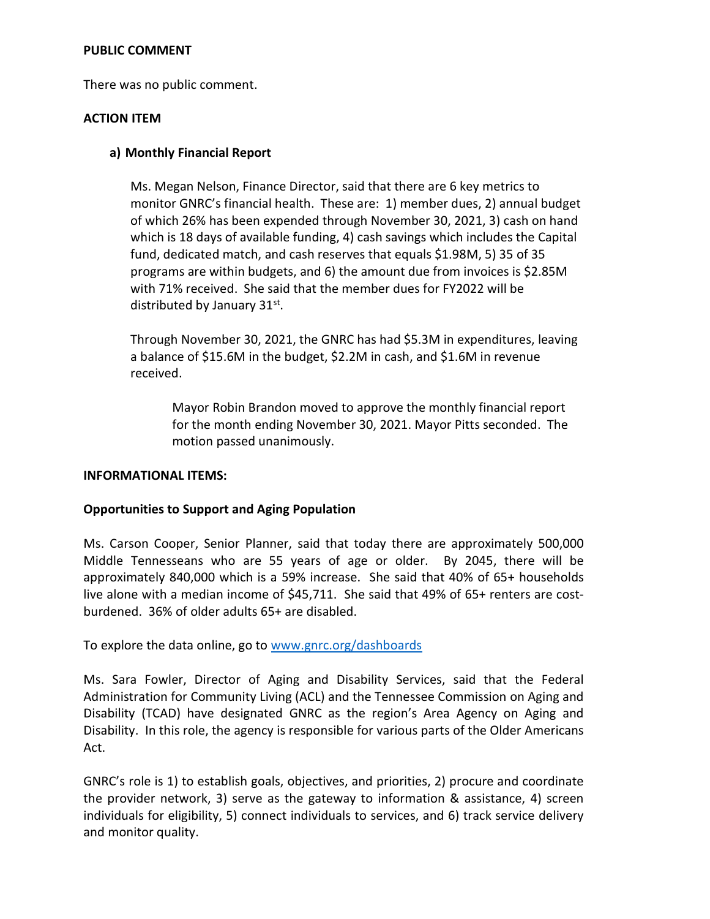## PUBLIC COMMENT

There was no public comment.

## ACTION ITEM

## a) Monthly Financial Report

Ms. Megan Nelson, Finance Director, said that there are 6 key metrics to monitor GNRC's financial health. These are: 1) member dues, 2) annual budget of which 26% has been expended through November 30, 2021, 3) cash on hand which is 18 days of available funding, 4) cash savings which includes the Capital fund, dedicated match, and cash reserves that equals \$1.98M, 5) 35 of 35 programs are within budgets, and 6) the amount due from invoices is \$2.85M with 71% received. She said that the member dues for FY2022 will be distributed by January 31st.

Through November 30, 2021, the GNRC has had \$5.3M in expenditures, leaving a balance of \$15.6M in the budget, \$2.2M in cash, and \$1.6M in revenue received.

Mayor Robin Brandon moved to approve the monthly financial report for the month ending November 30, 2021. Mayor Pitts seconded. The motion passed unanimously.

#### INFORMATIONAL ITEMS:

# Opportunities to Support and Aging Population

Ms. Carson Cooper, Senior Planner, said that today there are approximately 500,000 Middle Tennesseans who are 55 years of age or older. By 2045, there will be approximately 840,000 which is a 59% increase. She said that 40% of 65+ households live alone with a median income of \$45,711. She said that 49% of 65+ renters are costburdened. 36% of older adults 65+ are disabled.

To explore the data online, go to www.gnrc.org/dashboards

Ms. Sara Fowler, Director of Aging and Disability Services, said that the Federal Administration for Community Living (ACL) and the Tennessee Commission on Aging and Disability (TCAD) have designated GNRC as the region's Area Agency on Aging and Disability. In this role, the agency is responsible for various parts of the Older Americans Act.

GNRC's role is 1) to establish goals, objectives, and priorities, 2) procure and coordinate the provider network, 3) serve as the gateway to information & assistance, 4) screen individuals for eligibility, 5) connect individuals to services, and 6) track service delivery and monitor quality.